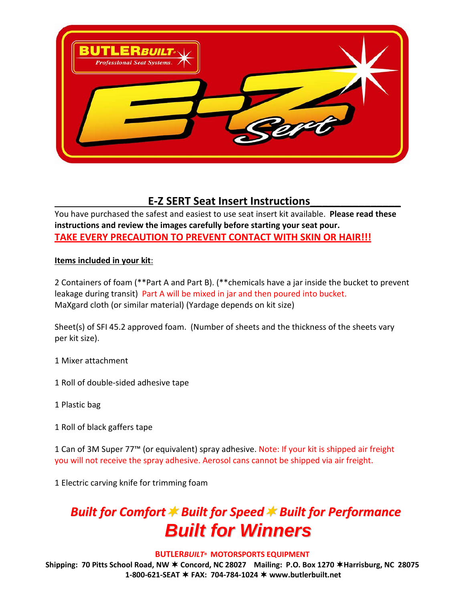

### **E-Z SERT Seat Insert Instructions**

You have purchased the safest and easiest to use seat insert kit available. **Please read these instructions and review the images carefully before starting your seat pour. TAKE EVERY PRECAUTION TO PREVENT CONTACT WITH SKIN OR HAIR!!!**

#### **Items included in your kit**:

2 Containers of foam (\*\*Part A and Part B). (\*\*chemicals have a jar inside the bucket to prevent leakage during transit) Part A will be mixed in jar and then poured into bucket. MaXgard cloth (or similar material) (Yardage depends on kit size)

Sheet(s) of SFI 45.2 approved foam. (Number of sheets and the thickness of the sheets vary per kit size).

1 Mixer attachment

1 Roll of double-sided adhesive tape

- 1 Plastic bag
- 1 Roll of black gaffers tape

1 Can of 3M Super 77<sup>™</sup> (or equivalent) spray adhesive. Note: If your kit is shipped air freight you will not receive the spray adhesive. Aerosol cans cannot be shipped via air freight.

1 Electric carving knife for trimming foam

# *Built for Comfort ★ Built for Speed ★ Built for Performance Built for Winners*

#### **BUTLER***BUILT***® MOTORSPORTS EQUIPMENT**

**Shipping: 70 Pitts School Road, NW Concord, NC 28027 Mailing: P.O. Box 1270 Harrisburg, NC 28075 1-800-621-SEAT FAX: 704-784-1024 www.butlerbuilt.net**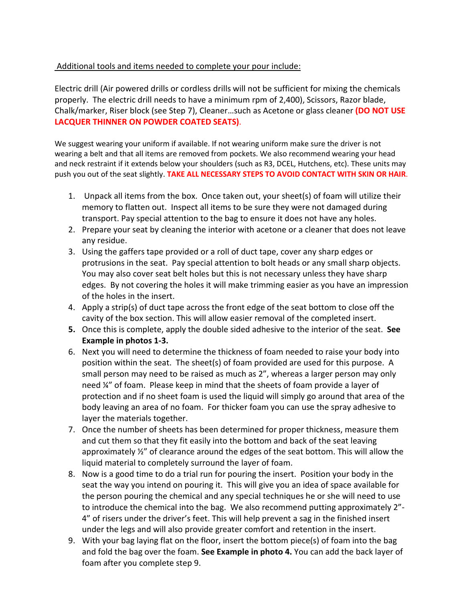#### Additional tools and items needed to complete your pour include:

Electric drill (Air powered drills or cordless drills will not be sufficient for mixing the chemicals properly. The electric drill needs to have a minimum rpm of 2,400), Scissors, Razor blade, Chalk/marker, Riser block (see Step 7), Cleaner…such as Acetone or glass cleaner **(DO NOT USE LACQUER THINNER ON POWDER COATED SEATS)**.

We suggest wearing your uniform if available. If not wearing uniform make sure the driver is not wearing a belt and that all items are removed from pockets. We also recommend wearing your head and neck restraint if it extends below your shoulders (such as R3, DCEL, Hutchens, etc). These units may push you out of the seat slightly. **TAKE ALL NECESSARY STEPS TO AVOID CONTACT WITH SKIN OR HAIR**.

- 1. Unpack all items from the box. Once taken out, your sheet(s) of foam will utilize their memory to flatten out. Inspect all items to be sure they were not damaged during transport. Pay special attention to the bag to ensure it does not have any holes.
- 2. Prepare your seat by cleaning the interior with acetone or a cleaner that does not leave any residue.
- 3. Using the gaffers tape provided or a roll of duct tape, cover any sharp edges or protrusions in the seat. Pay special attention to bolt heads or any small sharp objects. You may also cover seat belt holes but this is not necessary unless they have sharp edges. By not covering the holes it will make trimming easier as you have an impression of the holes in the insert.
- 4. Apply a strip(s) of duct tape across the front edge of the seat bottom to close off the cavity of the box section. This will allow easier removal of the completed insert.
- **5.** Once this is complete, apply the double sided adhesive to the interior of the seat. **See Example in photos 1-3.**
- 6. Next you will need to determine the thickness of foam needed to raise your body into position within the seat. The sheet(s) of foam provided are used for this purpose. A small person may need to be raised as much as 2", whereas a larger person may only need ¼" of foam. Please keep in mind that the sheets of foam provide a layer of protection and if no sheet foam is used the liquid will simply go around that area of the body leaving an area of no foam. For thicker foam you can use the spray adhesive to layer the materials together.
- 7. Once the number of sheets has been determined for proper thickness, measure them and cut them so that they fit easily into the bottom and back of the seat leaving approximately ½" of clearance around the edges of the seat bottom. This will allow the liquid material to completely surround the layer of foam.
- 8. Now is a good time to do a trial run for pouring the insert. Position your body in the seat the way you intend on pouring it. This will give you an idea of space available for the person pouring the chemical and any special techniques he or she will need to use to introduce the chemical into the bag. We also recommend putting approximately 2"- 4" of risers under the driver's feet. This will help prevent a sag in the finished insert under the legs and will also provide greater comfort and retention in the insert.
- 9. With your bag laying flat on the floor, insert the bottom piece(s) of foam into the bag and fold the bag over the foam. **See Example in photo 4.** You can add the back layer of foam after you complete step 9.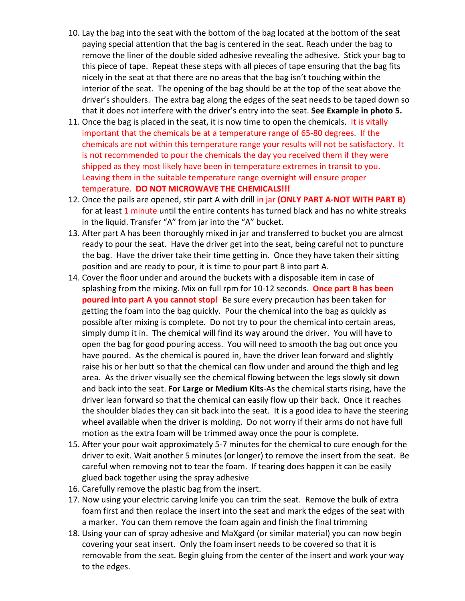- 10. Lay the bag into the seat with the bottom of the bag located at the bottom of the seat paying special attention that the bag is centered in the seat. Reach under the bag to remove the liner of the double sided adhesive revealing the adhesive. Stick your bag to this piece of tape. Repeat these steps with all pieces of tape ensuring that the bag fits nicely in the seat at that there are no areas that the bag isn't touching within the interior of the seat. The opening of the bag should be at the top of the seat above the driver's shoulders. The extra bag along the edges of the seat needs to be taped down so that it does not interfere with the driver's entry into the seat. **See Example in photo 5.**
- 11. Once the bag is placed in the seat, it is now time to open the chemicals. It is vitally important that the chemicals be at a temperature range of 65-80 degrees. If the chemicals are not within this temperature range your results will not be satisfactory. It is not recommended to pour the chemicals the day you received them if they were shipped as they most likely have been in temperature extremes in transit to you. Leaving them in the suitable temperature range overnight will ensure proper temperature. **DO NOT MICROWAVE THE CHEMICALS!!!**
- 12. Once the pails are opened, stir part A with drill in jar **(ONLY PART A-NOT WITH PART B)** for at least 1 minute until the entire contents has turned black and has no white streaks in the liquid. Transfer "A" from jar into the "A" bucket.
- 13. After part A has been thoroughly mixed in jar and transferred to bucket you are almost ready to pour the seat. Have the driver get into the seat, being careful not to puncture the bag. Have the driver take their time getting in. Once they have taken their sitting position and are ready to pour, it is time to pour part B into part A.
- 14. Cover the floor under and around the buckets with a disposable item in case of splashing from the mixing. Mix on full rpm for 10-12 seconds. **Once part B has been poured into part A you cannot stop!** Be sure every precaution has been taken for getting the foam into the bag quickly. Pour the chemical into the bag as quickly as possible after mixing is complete. Do not try to pour the chemical into certain areas, simply dump it in. The chemical will find its way around the driver. You will have to open the bag for good pouring access. You will need to smooth the bag out once you have poured. As the chemical is poured in, have the driver lean forward and slightly raise his or her butt so that the chemical can flow under and around the thigh and leg area. As the driver visually see the chemical flowing between the legs slowly sit down and back into the seat. **For Large or Medium Kits**-As the chemical starts rising, have the driver lean forward so that the chemical can easily flow up their back. Once it reaches the shoulder blades they can sit back into the seat. It is a good idea to have the steering wheel available when the driver is molding. Do not worry if their arms do not have full motion as the extra foam will be trimmed away once the pour is complete.
- 15. After your pour wait approximately 5-7 minutes for the chemical to cure enough for the driver to exit. Wait another 5 minutes (or longer) to remove the insert from the seat. Be careful when removing not to tear the foam. If tearing does happen it can be easily glued back together using the spray adhesive
- 16. Carefully remove the plastic bag from the insert.
- 17. Now using your electric carving knife you can trim the seat. Remove the bulk of extra foam first and then replace the insert into the seat and mark the edges of the seat with a marker. You can them remove the foam again and finish the final trimming
- 18. Using your can of spray adhesive and MaXgard (or similar material) you can now begin covering your seat insert. Only the foam insert needs to be covered so that it is removable from the seat. Begin gluing from the center of the insert and work your way to the edges.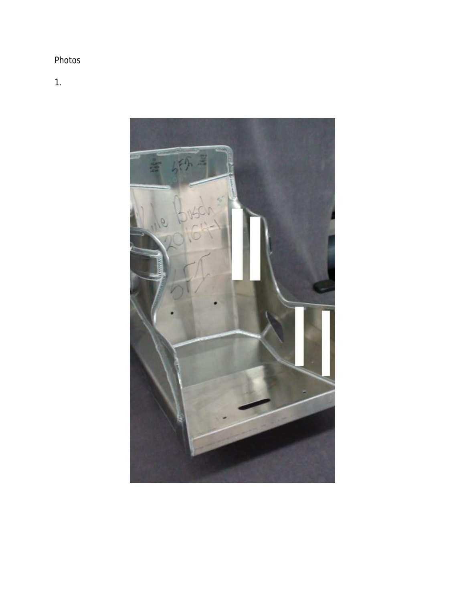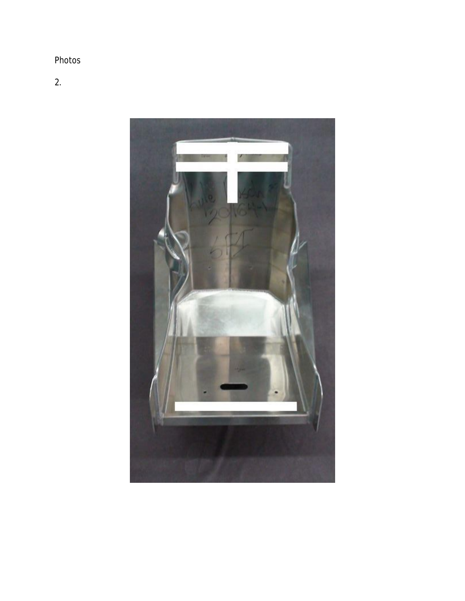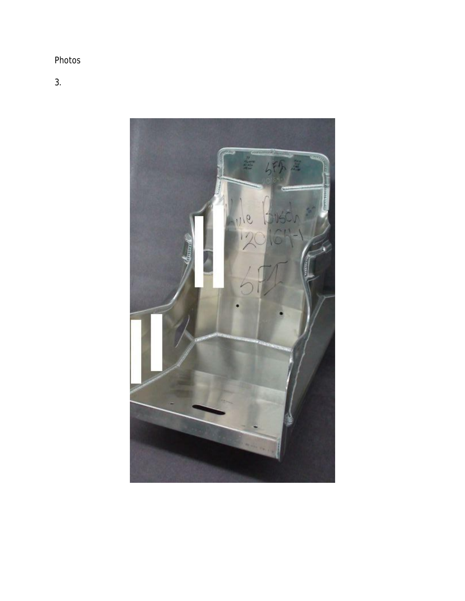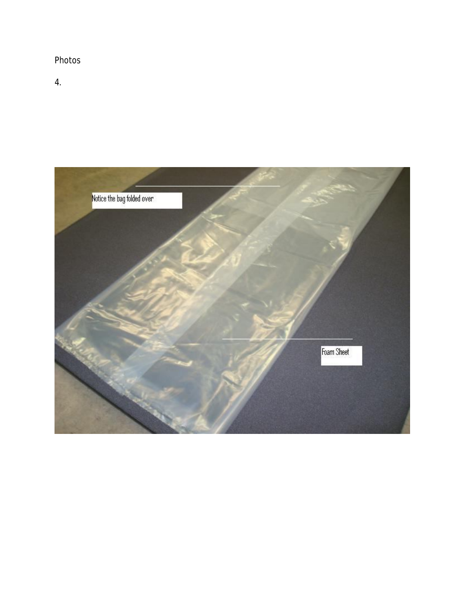